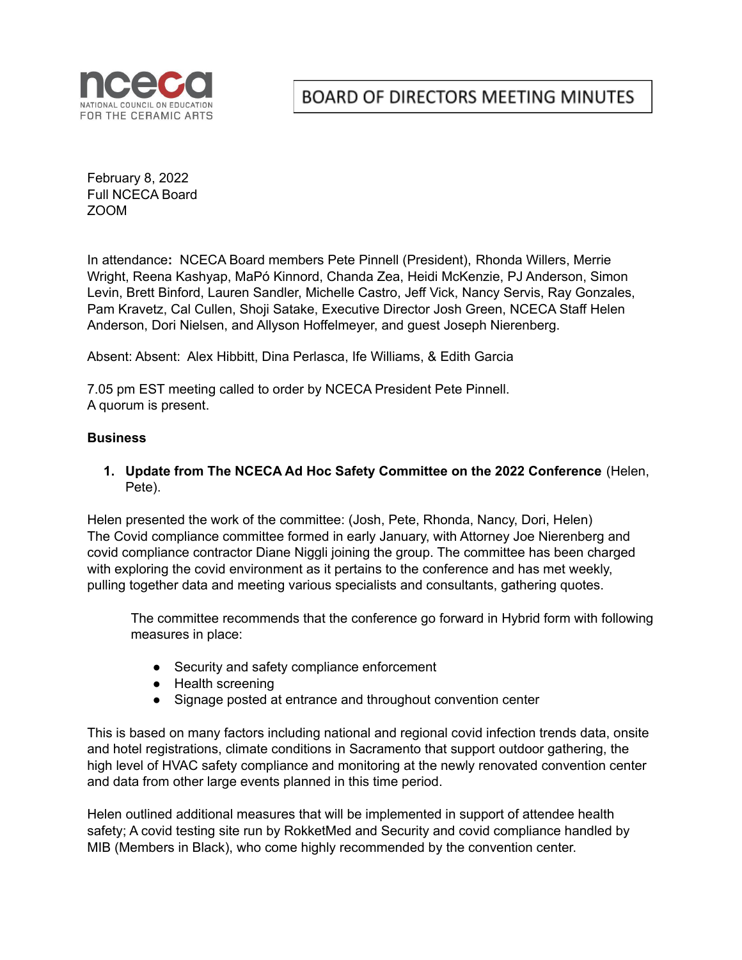

# BOARD OF DIRECTORS MEETING MINUTES

February 8, 2022 Full NCECA Board ZOOM

In attendance**:** NCECA Board members Pete Pinnell (President), Rhonda Willers, Merrie Wright, Reena Kashyap, MaPó Kinnord, Chanda Zea, Heidi McKenzie, PJ Anderson, Simon Levin, Brett Binford, Lauren Sandler, Michelle Castro, Jeff Vick, Nancy Servis, Ray Gonzales, Pam Kravetz, Cal Cullen, Shoji Satake, Executive Director Josh Green, NCECA Staff Helen Anderson, Dori Nielsen, and Allyson Hoffelmeyer, and guest Joseph Nierenberg.

Absent: Absent: Alex Hibbitt, Dina Perlasca, Ife Williams, & Edith Garcia

7.05 pm EST meeting called to order by NCECA President Pete Pinnell. A quorum is present.

## **Business**

**1. Update from The NCECA Ad Hoc Safety Committee on the 2022 Conference** (Helen, Pete).

Helen presented the work of the committee: (Josh, Pete, Rhonda, Nancy, Dori, Helen) The Covid compliance committee formed in early January, with Attorney Joe Nierenberg and covid compliance contractor Diane Niggli joining the group. The committee has been charged with exploring the covid environment as it pertains to the conference and has met weekly, pulling together data and meeting various specialists and consultants, gathering quotes.

The committee recommends that the conference go forward in Hybrid form with following measures in place:

- Security and safety compliance enforcement
- Health screening
- Signage posted at entrance and throughout convention center

This is based on many factors including national and regional covid infection trends data, onsite and hotel registrations, climate conditions in Sacramento that support outdoor gathering, the high level of HVAC safety compliance and monitoring at the newly renovated convention center and data from other large events planned in this time period.

Helen outlined additional measures that will be implemented in support of attendee health safety; A covid testing site run by RokketMed and Security and covid compliance handled by MIB (Members in Black), who come highly recommended by the convention center.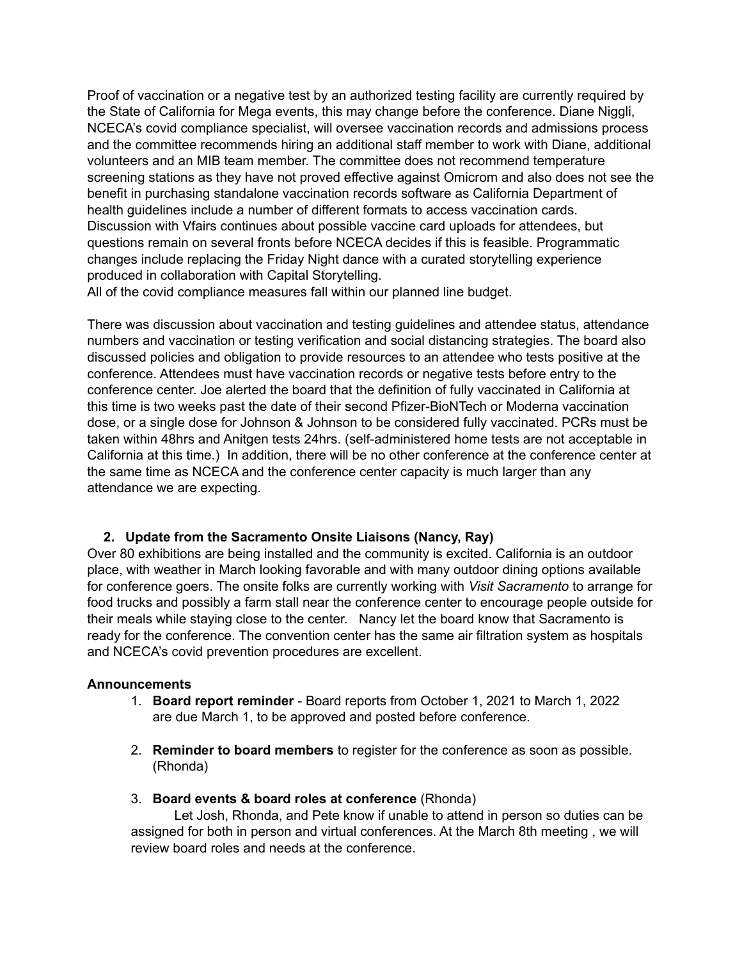Proof of vaccination or a negative test by an authorized testing facility are currently required by the State of California for Mega events, this may change before the conference. Diane Niggli, NCECA's covid compliance specialist, will oversee vaccination records and admissions process and the committee recommends hiring an additional staff member to work with Diane, additional volunteers and an MIB team member. The committee does not recommend temperature screening stations as they have not proved effective against Omicrom and also does not see the benefit in purchasing standalone vaccination records software as California Department of health guidelines include a number of different formats to access vaccination cards. Discussion with Vfairs continues about possible vaccine card uploads for attendees, but questions remain on several fronts before NCECA decides if this is feasible. Programmatic changes include replacing the Friday Night dance with a curated storytelling experience produced in collaboration with Capital Storytelling.

All of the covid compliance measures fall within our planned line budget.

There was discussion about vaccination and testing guidelines and attendee status, attendance numbers and vaccination or testing verification and social distancing strategies. The board also discussed policies and obligation to provide resources to an attendee who tests positive at the conference. Attendees must have vaccination records or negative tests before entry to the conference center. Joe alerted the board that the definition of fully vaccinated in California at this time is two weeks past the date of their second Pfizer-BioNTech or Moderna vaccination dose, or a single dose for Johnson & Johnson to be considered fully vaccinated. PCRs must be taken within 48hrs and Anitgen tests 24hrs. (self-administered home tests are not acceptable in California at this time.) In addition, there will be no other conference at the conference center at the same time as NCECA and the conference center capacity is much larger than any attendance we are expecting.

## **2. Update from the Sacramento Onsite Liaisons (Nancy, Ray)**

Over 80 exhibitions are being installed and the community is excited. California is an outdoor place, with weather in March looking favorable and with many outdoor dining options available for conference goers. The onsite folks are currently working with *Visit Sacramento* to arrange for food trucks and possibly a farm stall near the conference center to encourage people outside for their meals while staying close to the center. Nancy let the board know that Sacramento is ready for the conference. The convention center has the same air filtration system as hospitals and NCECA's covid prevention procedures are excellent.

## **Announcements**

- 1. **Board report reminder** Board reports from October 1, 2021 to March 1, 2022 are due March 1, to be approved and posted before conference.
- 2. **Reminder to board members** to register for the conference as soon as possible. (Rhonda)
- 3. **Board events & board roles at conference** (Rhonda)

Let Josh, Rhonda, and Pete know if unable to attend in person so duties can be assigned for both in person and virtual conferences. At the March 8th meeting , we will review board roles and needs at the conference.